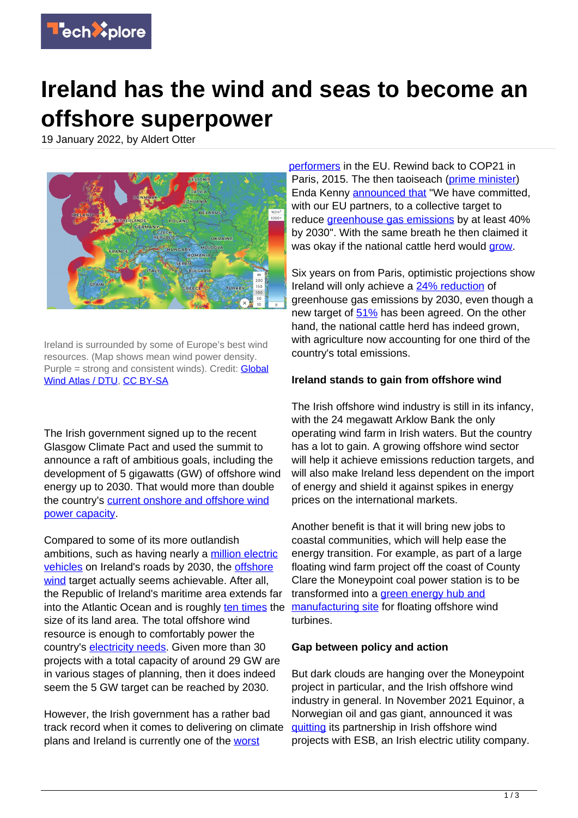

## **Ireland has the wind and seas to become an offshore superpower**

19 January 2022, by Aldert Otter



Ireland is surrounded by some of Europe's best wind resources. (Map shows mean wind power density. Purple = strong and consistent winds). Credit: **Global** [Wind Atlas / DTU](https://globalwindatlas.info/), [CC BY-SA](http://creativecommons.org/licenses/by-sa/4.0/)

The Irish government signed up to the recent Glasgow Climate Pact and used the summit to announce a raft of ambitious goals, including the development of 5 gigawatts (GW) of offshore wind energy up to 2030. That would more than double the country's [current onshore and offshore wind](https://windenergyireland.com/about-wind/facts-stats) [power capacity.](https://windenergyireland.com/about-wind/facts-stats)

Compared to some of its more outlandish ambitions, such as having nearly a [million electric](https://www.electrive.com/2021/11/08/ireland-wants-1-million-electric-vehicles-on-the-road-by-2030/) [vehicles](https://www.electrive.com/2021/11/08/ireland-wants-1-million-electric-vehicles-on-the-road-by-2030/) on Ireland's roads by 2030, the [offshore](https://techxplore.com/tags/offshore+wind/) [wind](https://techxplore.com/tags/offshore+wind/) target actually seems achievable. After all, the Republic of Ireland's maritime area extends far into the Atlantic Ocean and is roughly [ten times](https://www.marine.ie/Home/site-area/irelands-marine-resource/real-map-ireland#:~:text=We%20call%20this%20%E2%80%98The%20Real%20Map%20of%20Ireland%E2%80%99,area%20more%20than%2010%20times%20our%20land%20mass.) the size of its land area. The total offshore wind resource is enough to comfortably power the country's [electricity needs.](https://www.windenergyireland.com/images/files/20201203-final-iwea-building-offshore-wind-report.pdf#:~:text=Ireland%E2%80%99s%20abundant%20offshore%20wind%20energy%20resource%20is%20more,turbines%20and%20a%20total%20capacity%20of%2025%20MW) Given more than 30 projects with a total capacity of around 29 GW are in various stages of planning, then it does indeed seem the 5 GW target can be reached by 2030.

However, the Irish government has a rather bad track record when it comes to delivering on climate plans and Ireland is currently one of the [worst](https://www.irishtimes.com/news/environment/ireland-ranked-among-worst-performers-in-2021-climate-rankings-1.4723617)

[performers](https://www.irishtimes.com/news/environment/ireland-ranked-among-worst-performers-in-2021-climate-rankings-1.4723617) in the EU. Rewind back to COP21 in Paris, 2015. The then taoiseach ([prime minister\)](https://techxplore.com/tags/prime+minister/) Enda Kenny [announced that](https://www.irishtimes.com/news/environment/cop21-full-text-of-taoiseach-enda-kenny-s-address-to-paris-summit-1.2449204) "We have committed, with our EU partners, to a collective target to reduce [greenhouse gas emissions](https://techxplore.com/tags/greenhouse+gas+emissions/) by at least 40% by 2030". With the same breath he then claimed it was okay if the national cattle herd would [grow.](https://www.irishtimes.com/news/politics/oireachtas/kenny-on-wrong-side-of-history-over-global-summit-remarks-1.2450430#:~:text=Taoiseach%20Enda%20Kenny%20was%20accused%20of%20waffle%20over,summit%20on%20climate%20change%20in%20Paris%20on%20Monday)

Six years on from Paris, optimistic projections show Ireland will only achieve a [24% reduction](https://www.rte.ie/news/2021/0929/1249715-dairy-herd/) of greenhouse gas emissions by 2030, even though a new target of  $51\%$  has been agreed. On the other hand, the national cattle herd has indeed grown, with agriculture now accounting for one third of the country's total emissions.

## **Ireland stands to gain from offshore wind**

The Irish offshore wind industry is still in its infancy, with the 24 megawatt Arklow Bank the only operating wind farm in Irish waters. But the country has a lot to gain. A growing offshore wind sector will help it achieve emissions reduction targets, and will also make Ireland less dependent on the import of energy and shield it against spikes in energy prices on the international markets.

Another benefit is that it will bring new jobs to coastal communities, which will help ease the energy transition. For example, as part of a large floating wind farm project off the coast of County Clare the Moneypoint coal power station is to be transformed into a [green energy hub and](https://www.irishtimes.com/business/energy-and-resources/moneypoint-power-station-to-become-major-base-for-renewable-energy-1.4532323) [manufacturing site](https://www.irishtimes.com/business/energy-and-resources/moneypoint-power-station-to-become-major-base-for-renewable-energy-1.4532323) for floating offshore wind turbines.

## **Gap between policy and action**

But dark clouds are hanging over the Moneypoint project in particular, and the Irish offshore wind industry in general. In November 2021 Equinor, a Norwegian oil and gas giant, announced it was [quitting](https://www.maritime-executive.com/article/equinor-pulls-out-of-ireland-s-offshore-wind-market) its partnership in Irish offshore wind projects with ESB, an Irish electric utility company.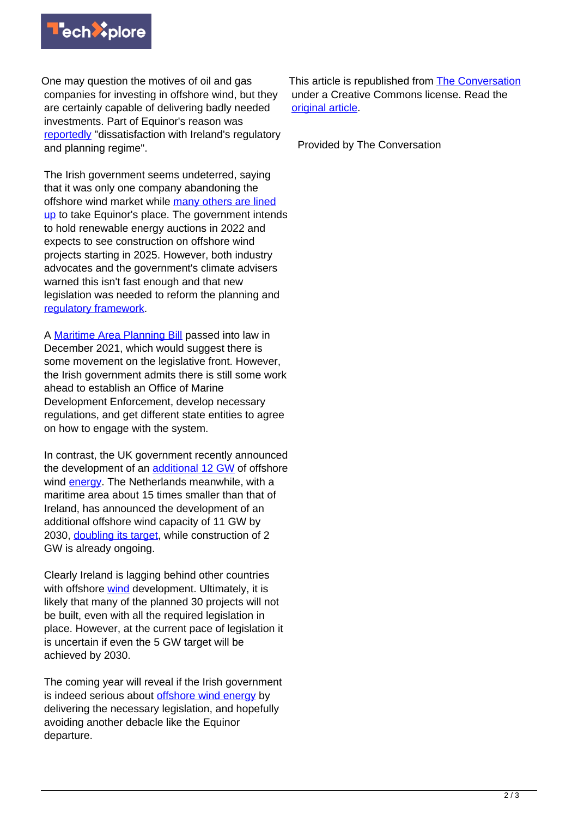

One may question the motives of oil and gas companies for investing in offshore wind, but they are certainly capable of delivering badly needed investments. Part of Equinor's reason was [reportedly](https://www.irishexaminer.com/news/munster/arid-40736667.html) "dissatisfaction with Ireland's regulatory and planning regime".

The Irish government seems undeterred, saying that it was only one company abandoning the offshore wind market while [many others are lined](https://www.irishexaminer.com/news/munster/arid-40736667.html) [up](https://www.irishexaminer.com/news/munster/arid-40736667.html) to take Equinor's place. The government intends to hold renewable energy auctions in 2022 and expects to see construction on offshore wind projects starting in 2025. However, both industry advocates and the government's climate advisers warned this isn't fast enough and that new legislation was needed to reform the planning and [regulatory framework.](https://techxplore.com/tags/regulatory+framework/)

A [Maritime Area Planning Bill](https://www.oireachtas.ie/en/bills/bill/2021/104/) passed into law in December 2021, which would suggest there is some movement on the legislative front. However, the Irish government admits there is still some work ahead to establish an Office of Marine Development Enforcement, develop necessary regulations, and get different state entities to agree on how to engage with the system.

In contrast, the UK government recently announced the development of an [additional 12 GW](https://www.offshorewind.biz/2021/12/13/uk-opens-biggest-ever-contracts-for-difference-round/) of offshore wind **energy**. The Netherlands meanwhile, with a maritime area about 15 times smaller than that of Ireland, has announced the development of an additional offshore wind capacity of 11 GW by 2030, [doubling its target,](https://www.offshorewind.biz/2021/11/11/the-netherlands-plans-to-nearly-double-2030-offshore-wind-target/) while construction of 2 GW is already ongoing.

Clearly Ireland is lagging behind other countries with offshore [wind](https://techxplore.com/tags/wind/) development. Ultimately, it is likely that many of the planned 30 projects will not be built, even with all the required legislation in place. However, at the current pace of legislation it is uncertain if even the 5 GW target will be achieved by 2030.

The coming year will reveal if the Irish government is indeed serious about [offshore wind energy](https://techxplore.com/tags/offshore+wind+energy/) by delivering the necessary legislation, and hopefully avoiding another debacle like the Equinor departure.

This article is republished from [The Conversation](https://theconversation.com) under a Creative Commons license. Read the [original article](https://theconversation.com/ireland-has-the-wind-and-seas-to-become-an-offshore-superpower-174553).

Provided by The Conversation